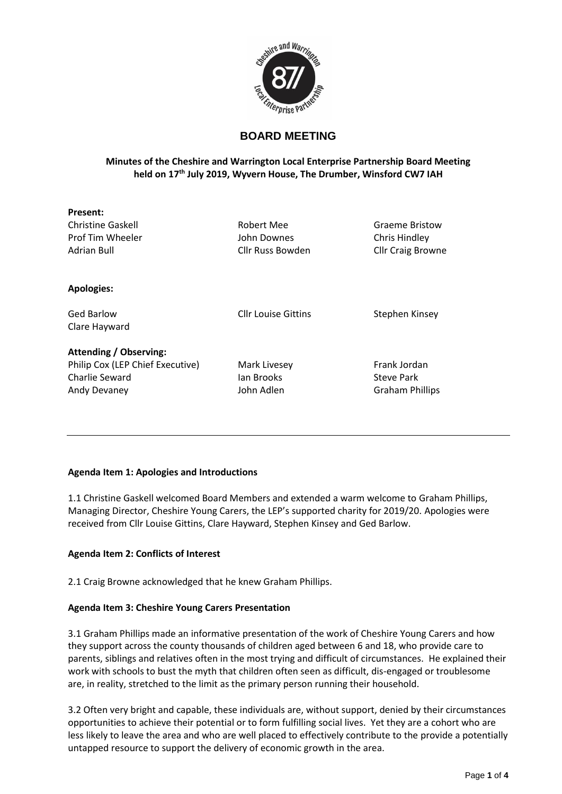

# **BOARD MEETING**

### **Minutes of the Cheshire and Warrington Local Enterprise Partnership Board Meeting held on 17th July 2019, Wyvern House, The Drumber, Winsford CW7 IAH**

| Present:                      |                            |                          |
|-------------------------------|----------------------------|--------------------------|
| <b>Christine Gaskell</b>      | <b>Robert Mee</b>          | <b>Graeme Bristow</b>    |
| Prof Tim Wheeler              | John Downes                | Chris Hindley            |
| Adrian Bull                   | Cllr Russ Bowden           | <b>Cllr Craig Browne</b> |
| <b>Apologies:</b>             |                            |                          |
| <b>Ged Barlow</b>             | <b>Cllr Louise Gittins</b> | Stephen Kinsey           |
| Clare Hayward                 |                            |                          |
| <b>Attending / Observing:</b> |                            |                          |

Philip Cox (LEP Chief Executive) Mark Livesey Frank Jordan Charlie Seward **Ian Brooks** Charlie Seward Charlie Seward Ian Brooks Steve Park

Andy Devaney John Adlen Graham Phillips

## **Agenda Item 1: Apologies and Introductions**

1.1 Christine Gaskell welcomed Board Members and extended a warm welcome to Graham Phillips, Managing Director, Cheshire Young Carers, the LEP's supported charity for 2019/20. Apologies were received from Cllr Louise Gittins, Clare Hayward, Stephen Kinsey and Ged Barlow.

### **Agenda Item 2: Conflicts of Interest**

2.1 Craig Browne acknowledged that he knew Graham Phillips.

### **Agenda Item 3: Cheshire Young Carers Presentation**

3.1 Graham Phillips made an informative presentation of the work of Cheshire Young Carers and how they support across the county thousands of children aged between 6 and 18, who provide care to parents, siblings and relatives often in the most trying and difficult of circumstances. He explained their work with schools to bust the myth that children often seen as difficult, dis-engaged or troublesome are, in reality, stretched to the limit as the primary person running their household.

3.2 Often very bright and capable, these individuals are, without support, denied by their circumstances opportunities to achieve their potential or to form fulfilling social lives. Yet they are a cohort who are less likely to leave the area and who are well placed to effectively contribute to the provide a potentially untapped resource to support the delivery of economic growth in the area.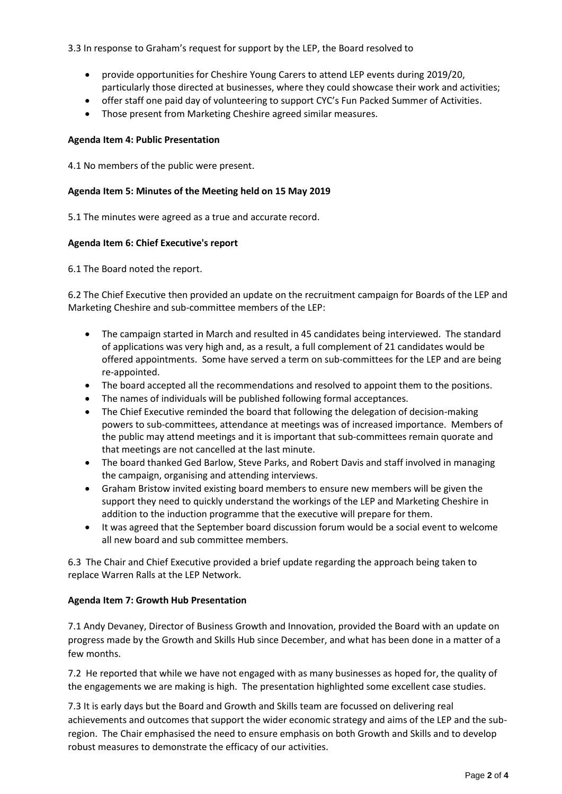### 3.3 In response to Graham's request for support by the LEP, the Board resolved to

- provide opportunities for Cheshire Young Carers to attend LEP events during 2019/20, particularly those directed at businesses, where they could showcase their work and activities;
- offer staff one paid day of volunteering to support CYC's Fun Packed Summer of Activities.
- Those present from Marketing Cheshire agreed similar measures.

#### **Agenda Item 4: Public Presentation**

4.1 No members of the public were present.

#### **Agenda Item 5: Minutes of the Meeting held on 15 May 2019**

5.1 The minutes were agreed as a true and accurate record.

#### **Agenda Item 6: Chief Executive's report**

6.1 The Board noted the report.

6.2 The Chief Executive then provided an update on the recruitment campaign for Boards of the LEP and Marketing Cheshire and sub-committee members of the LEP:

- The campaign started in March and resulted in 45 candidates being interviewed. The standard of applications was very high and, as a result, a full complement of 21 candidates would be offered appointments. Some have served a term on sub-committees for the LEP and are being re-appointed.
- The board accepted all the recommendations and resolved to appoint them to the positions.
- The names of individuals will be published following formal acceptances.
- The Chief Executive reminded the board that following the delegation of decision-making powers to sub-committees, attendance at meetings was of increased importance. Members of the public may attend meetings and it is important that sub-committees remain quorate and that meetings are not cancelled at the last minute.
- The board thanked Ged Barlow, Steve Parks, and Robert Davis and staff involved in managing the campaign, organising and attending interviews.
- Graham Bristow invited existing board members to ensure new members will be given the support they need to quickly understand the workings of the LEP and Marketing Cheshire in addition to the induction programme that the executive will prepare for them.
- It was agreed that the September board discussion forum would be a social event to welcome all new board and sub committee members.

6.3 The Chair and Chief Executive provided a brief update regarding the approach being taken to replace Warren Ralls at the LEP Network.

#### **Agenda Item 7: Growth Hub Presentation**

7.1 Andy Devaney, Director of Business Growth and Innovation, provided the Board with an update on progress made by the Growth and Skills Hub since December, and what has been done in a matter of a few months.

7.2 He reported that while we have not engaged with as many businesses as hoped for, the quality of the engagements we are making is high. The presentation highlighted some excellent case studies.

7.3 It is early days but the Board and Growth and Skills team are focussed on delivering real achievements and outcomes that support the wider economic strategy and aims of the LEP and the subregion. The Chair emphasised the need to ensure emphasis on both Growth and Skills and to develop robust measures to demonstrate the efficacy of our activities.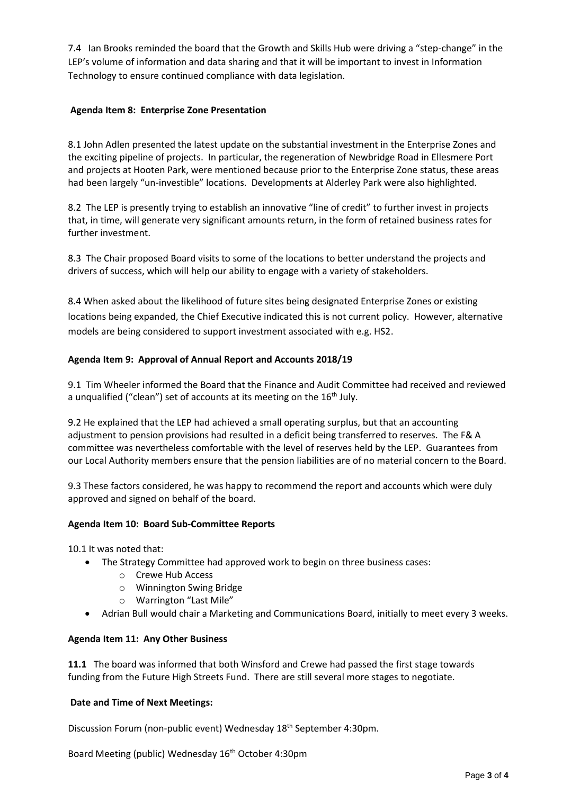7.4 Ian Brooks reminded the board that the Growth and Skills Hub were driving a "step-change" in the LEP's volume of information and data sharing and that it will be important to invest in Information Technology to ensure continued compliance with data legislation.

### **Agenda Item 8: Enterprise Zone Presentation**

8.1 John Adlen presented the latest update on the substantial investment in the Enterprise Zones and the exciting pipeline of projects. In particular, the regeneration of Newbridge Road in Ellesmere Port and projects at Hooten Park, were mentioned because prior to the Enterprise Zone status, these areas had been largely "un-investible" locations. Developments at Alderley Park were also highlighted.

8.2 The LEP is presently trying to establish an innovative "line of credit" to further invest in projects that, in time, will generate very significant amounts return, in the form of retained business rates for further investment.

8.3 The Chair proposed Board visits to some of the locations to better understand the projects and drivers of success, which will help our ability to engage with a variety of stakeholders.

8.4 When asked about the likelihood of future sites being designated Enterprise Zones or existing locations being expanded, the Chief Executive indicated this is not current policy. However, alternative models are being considered to support investment associated with e.g. HS2.

### **Agenda Item 9: Approval of Annual Report and Accounts 2018/19**

9.1 Tim Wheeler informed the Board that the Finance and Audit Committee had received and reviewed a unqualified ("clean") set of accounts at its meeting on the 16<sup>th</sup> July.

9.2 He explained that the LEP had achieved a small operating surplus, but that an accounting adjustment to pension provisions had resulted in a deficit being transferred to reserves. The F& A committee was nevertheless comfortable with the level of reserves held by the LEP. Guarantees from our Local Authority members ensure that the pension liabilities are of no material concern to the Board.

9.3 These factors considered, he was happy to recommend the report and accounts which were duly approved and signed on behalf of the board.

#### **Agenda Item 10: Board Sub-Committee Reports**

10.1 It was noted that:

- The Strategy Committee had approved work to begin on three business cases:
	- o Crewe Hub Access
	- o Winnington Swing Bridge
	- o Warrington "Last Mile"
- Adrian Bull would chair a Marketing and Communications Board, initially to meet every 3 weeks.

#### **Agenda Item 11: Any Other Business**

**11.1** The board was informed that both Winsford and Crewe had passed the first stage towards funding from the Future High Streets Fund. There are still several more stages to negotiate.

#### **Date and Time of Next Meetings:**

Discussion Forum (non-public event) Wednesday 18 th September 4:30pm.

Board Meeting (public) Wednesday 16<sup>th</sup> October 4:30pm